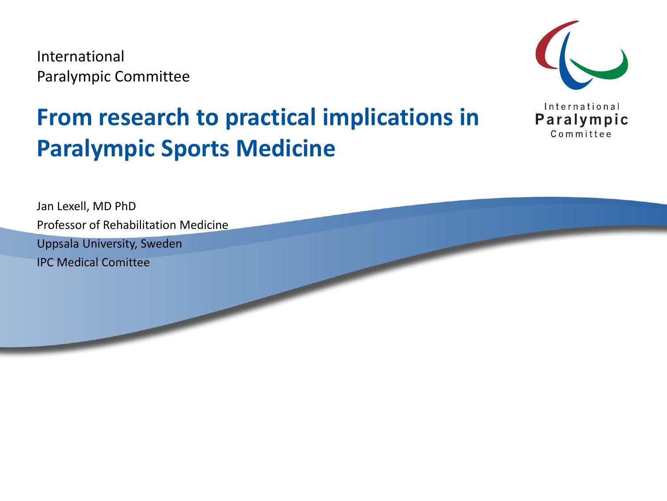International Paralympic Committee



#### **From research to practical implications in Paralympic Sports Medicine**

Jan Lexell, MD PhD Professor of Rehabilitation Medicine Uppsala University, Sweden IPC Medical Comittee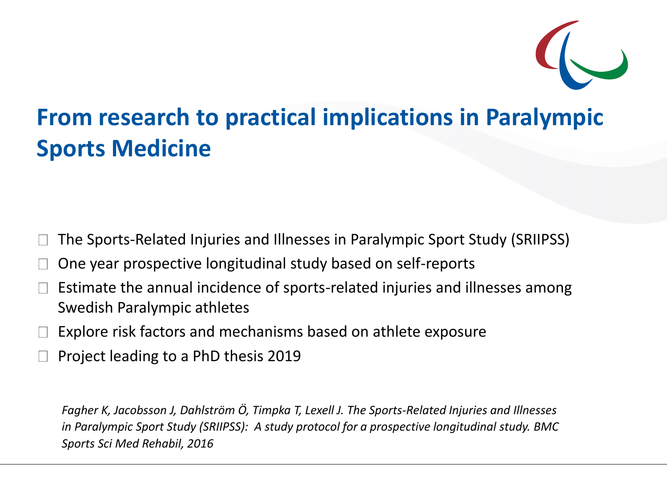

#### **From research to practical implications in Paralympic Sports Medicine**

The Sports-Related Injuries and Illnesses in Paralympic Sport Study (SRIIPSS)

- One year prospective longitudinal study based on self-reports
- Estimate the annual incidence of sports-related injuries and illnesses among Swedish Paralympic athletes
- Explore risk factors and mechanisms based on athlete exposure
- Project leading to a PhD thesis 2019

*Fagher K, Jacobsson J, Dahlström Ö, Timpka T, Lexell J. The Sports-Related Injuries and Illnesses in Paralympic Sport Study (SRIIPSS): A study protocol for a prospective longitudinal study. BMC Sports Sci Med Rehabil, 2016*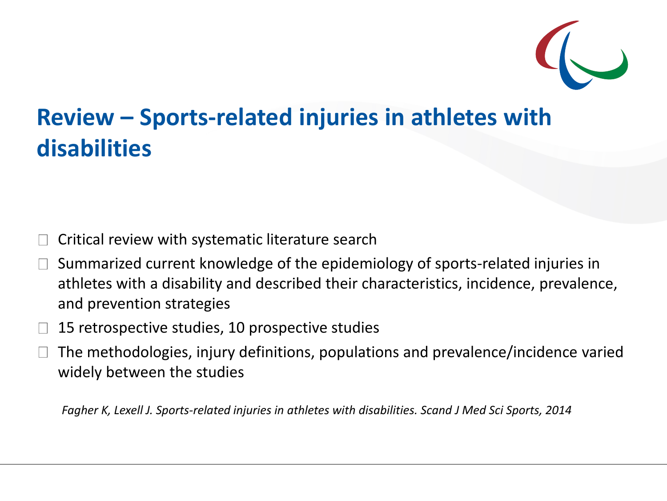

#### **Review – Sports-related injuries in athletes with disabilities**

- Critical review with systematic literature search
- Summarized current knowledge of the epidemiology of sports-related injuries in athletes with a disability and described their characteristics, incidence, prevalence, and prevention strategies
- 15 retrospective studies, 10 prospective studies
- The methodologies, injury definitions, populations and prevalence/incidence varied widely between the studies

*Fagher K, Lexell J. Sports-related injuries in athletes with disabilities. Scand J Med Sci Sports, 2014*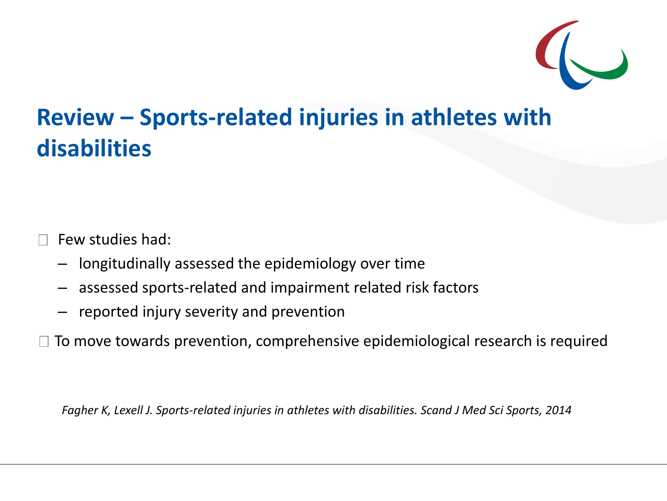

#### **Review – Sports-related injuries in athletes with disabilities**

Few studies had:

- longitudinally assessed the epidemiology over time
- assessed sports-related and impairment related risk factors
- reported injury severity and prevention

 $\Box$  To move towards prevention, comprehensive epidemiological research is required

*Fagher K, Lexell J. Sports-related injuries in athletes with disabilities. Scand J Med Sci Sports, 2014*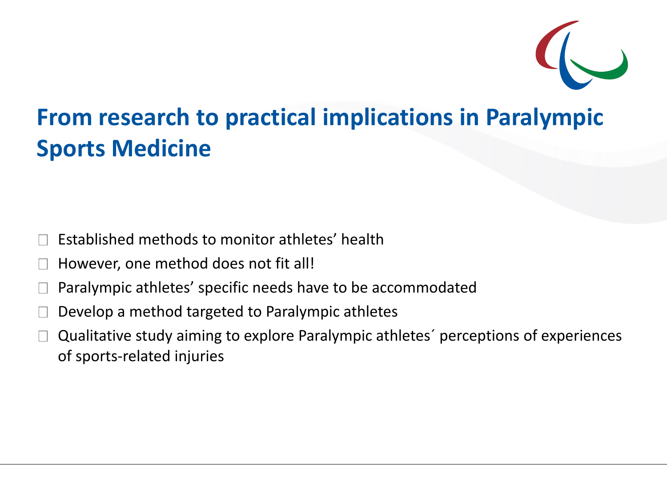

#### **From research to practical implications in Paralympic Sports Medicine**

- Established methods to monitor athletes' health
- However, one method does not fit all!
- Paralympic athletes' specific needs have to be accommodated
- Develop a method targeted to Paralympic athletes
- Qualitative study aiming to explore Paralympic athletes´ perceptions of experiences of sports-related injuries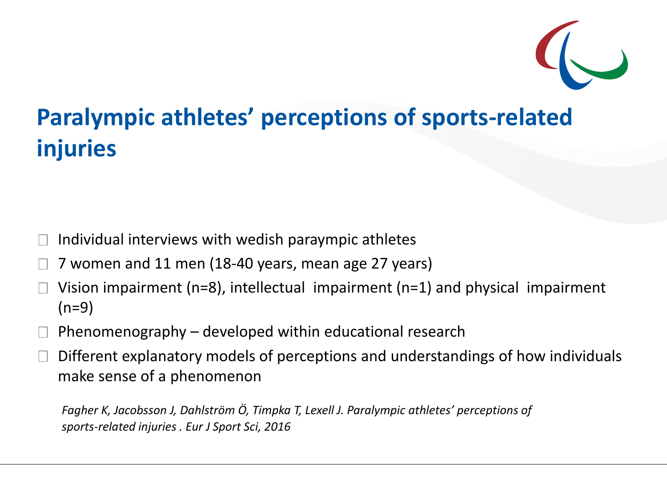

#### **Paralympic athletes' perceptions of sports-related injuries**

- Individual interviews with wedish paraympic athletes
- 7 women and 11 men (18-40 years, mean age 27 years)
- Vision impairment (n=8), intellectual impairment (n=1) and physical impairment  $(n=9)$
- Phenomenography developed within educational research
- Different explanatory models of perceptions and understandings of how individuals make sense of a phenomenon

*Fagher K, Jacobsson J, Dahlström Ö, Timpka T, Lexell J. Paralympic athletes' perceptions of sports-related injuries . Eur J Sport Sci, 2016*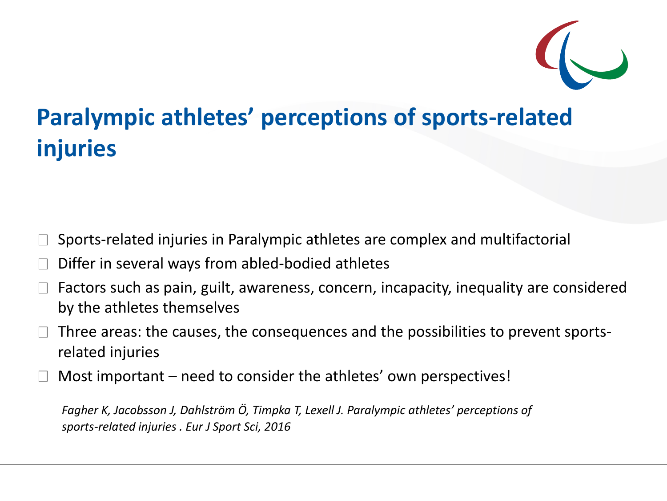

#### **Paralympic athletes' perceptions of sports-related injuries**

- Sports-related injuries in Paralympic athletes are complex and multifactorial
- Differ in several ways from abled-bodied athletes
- Factors such as pain, guilt, awareness, concern, incapacity, inequality are considered by the athletes themselves
- Three areas: the causes, the consequences and the possibilities to prevent sportsrelated injuries
- Most important need to consider the athletes' own perspectives!

*Fagher K, Jacobsson J, Dahlström Ö, Timpka T, Lexell J. Paralympic athletes' perceptions of sports-related injuries . Eur J Sport Sci, 2016*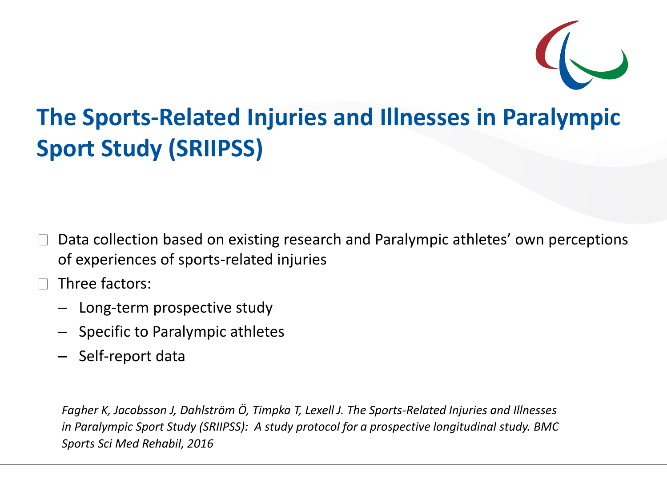

#### **The Sports-Related Injuries and Illnesses in Paralympic Sport Study (SRIIPSS)**

- Data collection based on existing research and Paralympic athletes' own perceptions of experiences of sports-related injuries
- Three factors:
	- Long-term prospective study
	- Specific to Paralympic athletes
	- Self-report data

*Fagher K, Jacobsson J, Dahlström Ö, Timpka T, Lexell J. The Sports-Related Injuries and Illnesses in Paralympic Sport Study (SRIIPSS): A study protocol for a prospective longitudinal study. BMC Sports Sci Med Rehabil, 2016*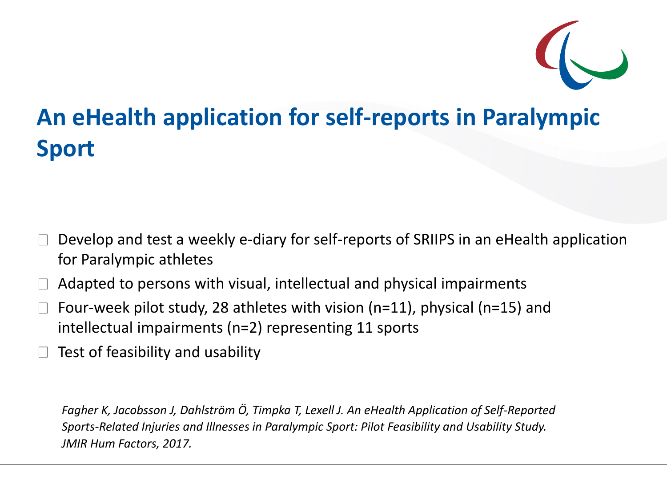

#### **An eHealth application for self-reports in Paralympic Sport**

- Develop and test a weekly e-diary for self-reports of SRIIPS in an eHealth application for Paralympic athletes
- Adapted to persons with visual, intellectual and physical impairments
- Four-week pilot study, 28 athletes with vision (n=11), physical (n=15) and intellectual impairments (n=2) representing 11 sports
- Test of feasibility and usability

*Fagher K, Jacobsson J, Dahlström Ö, Timpka T, Lexell J. An eHealth Application of Self-Reported Sports-Related Injuries and Illnesses in Paralympic Sport: Pilot Feasibility and Usability Study. JMIR Hum Factors, 2017.*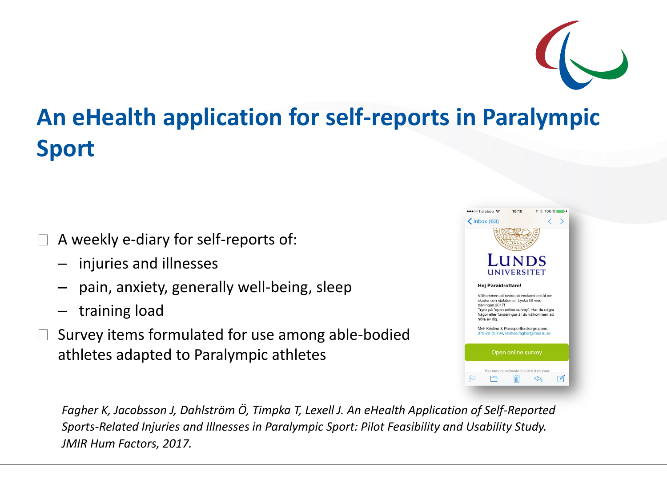## **An eHealth application for self-reports in Paralympic Sport**

- A weekly e-diary for self-reports of:
	- injuries and illnesses
	- pain, anxiety, generally well-being, sleep
	- training load
- Survey items formulated for use among able-bodied athletes adapted to Paralympic athletes

| $\langle$ Inbox (63)                                                                                                                     |                                        |                                                                                             |  |
|------------------------------------------------------------------------------------------------------------------------------------------|----------------------------------------|---------------------------------------------------------------------------------------------|--|
|                                                                                                                                          | LUNDS<br><b>UNIVERSITET</b>            |                                                                                             |  |
| Hej Paraidrottare!<br>Välkommen att svara på veckans enkät om<br>skador och sjukdomar. Lycka till med<br>träningen 2017!<br>höra av dig. |                                        | Tryck på "open online survey". Har du några<br>frågor eller funderingar är du välkommen att |  |
| Myh Kristina & Parasportforskargruppen,<br>070-29 70 764, kristina.fagher@med.lu.se                                                      | Open online survey                     |                                                                                             |  |
|                                                                                                                                          | You may copy/paste this link into your |                                                                                             |  |

*Fagher K, Jacobsson J, Dahlström Ö, Timpka T, Lexell J. An eHealth Application of Self-Reported Sports-Related Injuries and Illnesses in Paralympic Sport: Pilot Feasibility and Usability Study. JMIR Hum Factors, 2017.*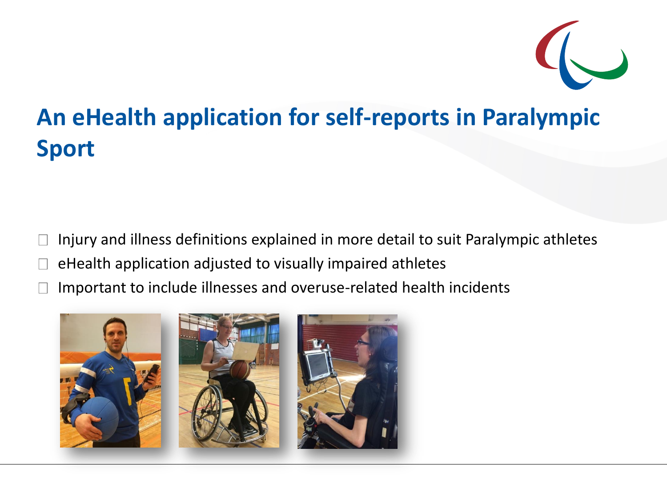

### **An eHealth application for self-reports in Paralympic Sport**

Injury and illness definitions explained in more detail to suit Paralympic athletes

- eHealth application adjusted to visually impaired athletes
- Important to include illnesses and overuse-related health incidents

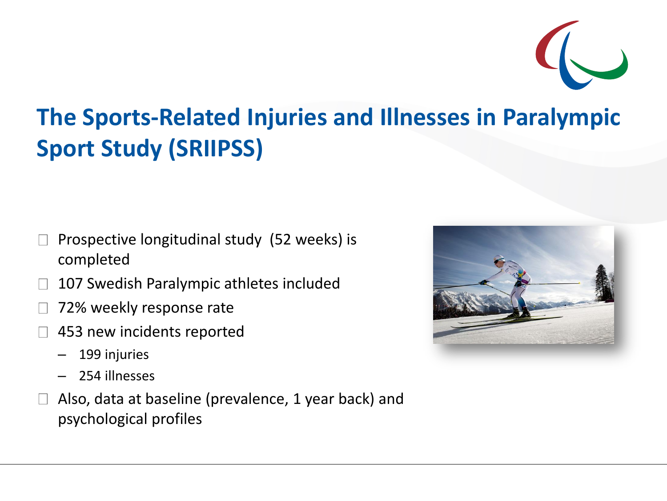

### **The Sports-Related Injuries and Illnesses in Paralympic Sport Study (SRIIPSS)**

- Prospective longitudinal study (52 weeks) is completed
- 107 Swedish Paralympic athletes included
- 72% weekly response rate
- 453 new incidents reported
	- 199 injuries
	- 254 illnesses
- Also, data at baseline (prevalence, 1 year back) and psychological profiles

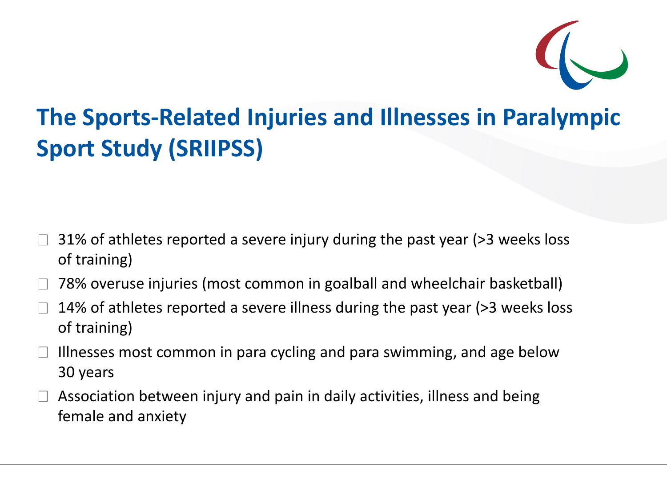

### **The Sports-Related Injuries and Illnesses in Paralympic Sport Study (SRIIPSS)**

- 31% of athletes reported a severe injury during the past year (>3 weeks loss of training)
- 78% overuse injuries (most common in goalball and wheelchair basketball)
- 14% of athletes reported a severe illness during the past year (>3 weeks loss of training)
- Illnesses most common in para cycling and para swimming, and age below 30 years
- Association between injury and pain in daily activities, illness and being female and anxiety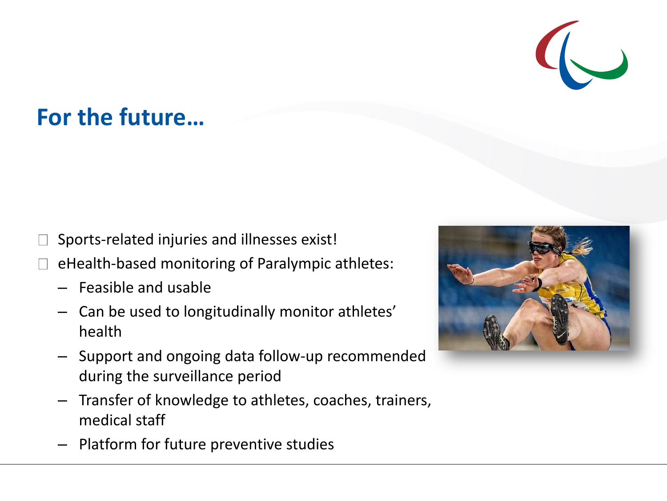#### **For the future…**

- Sports-related injuries and illnesses exist!
- eHealth-based monitoring of Paralympic athletes:
	- Feasible and usable
	- Can be used to longitudinally monitor athletes' health
	- Support and ongoing data follow-up recommended during the surveillance period
	- Transfer of knowledge to athletes, coaches, trainers, medical staff
	- Platform for future preventive studies